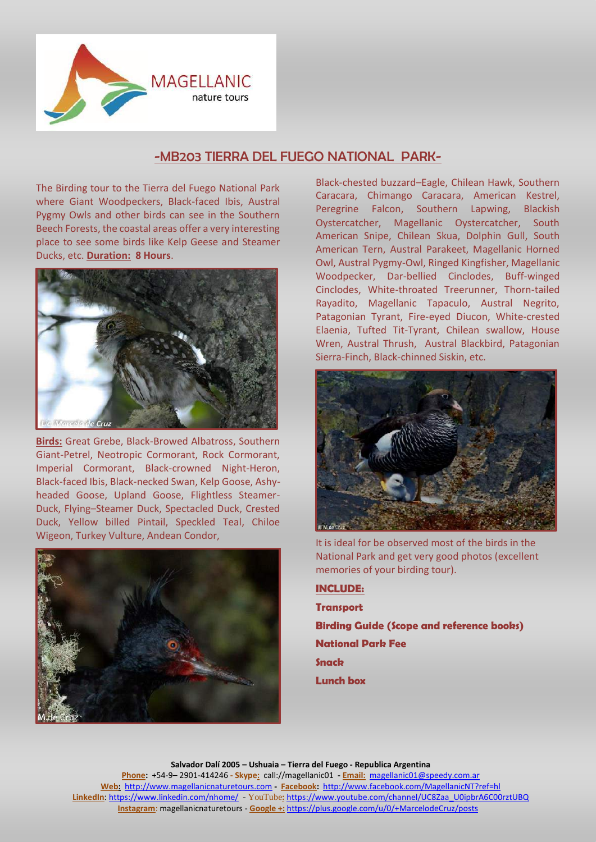

## -MB203 TIERRA DEL FUEGO NATIONAL PARK-

The Birding tour to the Tierra del Fuego National Park where Giant Woodpeckers, Black-faced Ibis, Austral Pygmy Owls and other birds can see in the Southern Beech Forests, the coastal areas offer a very interesting place to see some birds like Kelp Geese and Steamer Ducks, etc. **Duration: 8 Hours**.



**Birds:** Great Grebe, Black-Browed Albatross, Southern Giant-Petrel, Neotropic Cormorant, Rock Cormorant, Imperial Cormorant, Black-crowned Night-Heron, Black-faced Ibis, Black-necked Swan, Kelp Goose, Ashyheaded Goose, Upland Goose, Flightless Steamer-Duck, Flying–Steamer Duck, Spectacled Duck, Crested Duck, Yellow billed Pintail, Speckled Teal, Chiloe Wigeon, Turkey Vulture, Andean Condor,



Black-chested buzzard–Eagle, Chilean Hawk, Southern Caracara, Chimango Caracara, American Kestrel, Peregrine Falcon, Southern Lapwing, Blackish Oystercatcher, Magellanic Oystercatcher, South American Snipe, Chilean Skua, Dolphin Gull, South American Tern, Austral Parakeet, Magellanic Horned Owl, Austral Pygmy-Owl, Ringed Kingfisher, Magellanic Woodpecker, Dar-bellied Cinclodes, Buff-winged Cinclodes, White-throated Treerunner, Thorn-tailed Rayadito, Magellanic Tapaculo, Austral Negrito, Patagonian Tyrant, Fire-eyed Diucon, White-crested Elaenia, Tufted Tit-Tyrant, Chilean swallow, House Wren, Austral Thrush, Austral Blackbird, Patagonian Sierra-Finch, Black-chinned Siskin, etc.



It is ideal for be observed most of the birds in the National Park and get very good photos (excellent memories of your birding tour).

**INCLUDE: Transport Birding Guide (Scope and reference books) National Park Fee Snack Lunch box**

**Salvador Dalí 2005 – Ushuaia – Tierra del Fuego - Republica Argentina Phone:** +54-9– 2901-414246 **- Skype:** call://magellanic01 **- Email:** [magellanic01@speedy.com.ar](mailto:magellanic01@speedy.com.ar) **Web:** [http://www.magellanicnaturetours.com](http://www.magellanicnaturetours.com/) **- Facebook:** <http://www.facebook.com/MagellanicNT?ref=hl> **LinkedIn**: <https://www.linkedin.com/nhome/> - YouTube**:** [https://www.youtube.com/channel/UC8Zaa\\_U0ipbrA6C00rztUBQ](https://www.youtube.com/channel/UC8Zaa_U0ipbrA6C00rztUBQ) **Instagram**: magellanicnaturetours - **Google +:** <https://plus.google.com/u/0/+MarcelodeCruz/posts>